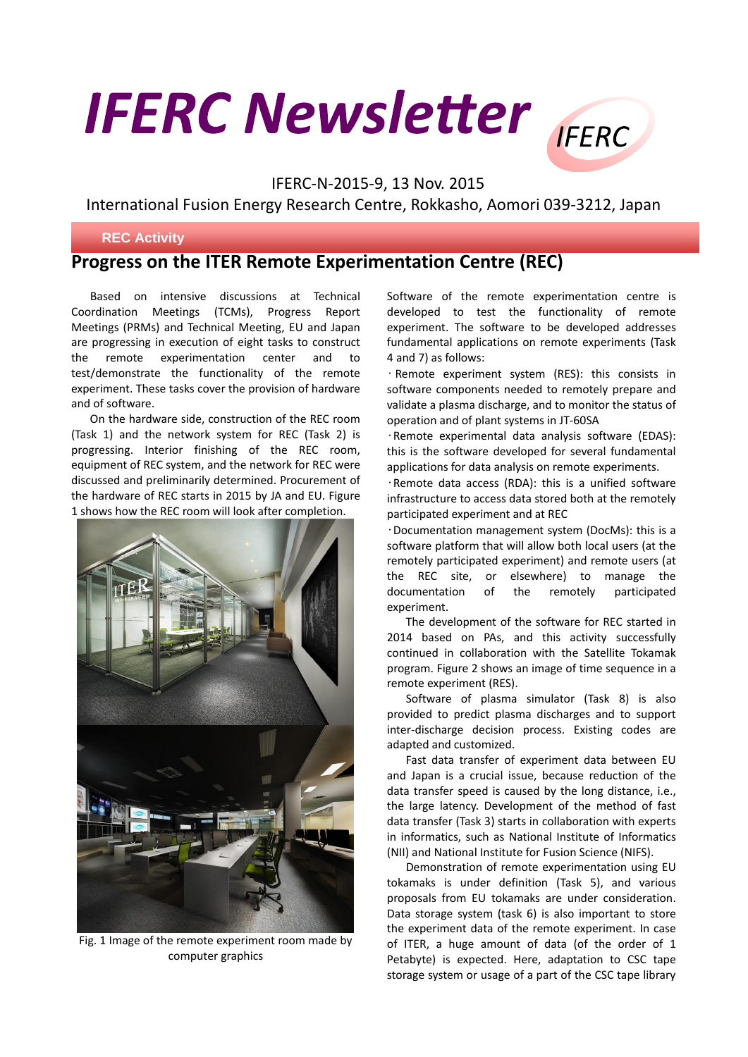## **IFERC Newsletter**

IFERC-N-2015-9, 13 Nov. 2015

International Fusion Energy Research Centre, Rokkasho, Aomori 039-3212, Japan

## **REC Activity**

## **Progress on the ITER Remote Experimentation Centre (REC)**

 Based on intensive discussions at Technical Coordination Meetings (TCMs), Progress Report Meetings (PRMs) and Technical Meeting, EU and Japan are progressing in execution of eight tasks to construct the remote experimentation center and to test/demonstrate the functionality of the remote experiment. These tasks cover the provision of hardware and of software.

 On the hardware side, construction of the REC room (Task 1) and the network system for REC (Task 2) is progressing. Interior finishing of the REC room, equipment of REC system, and the network for REC were discussed and preliminarily determined. Procurement of the hardware of REC starts in 2015 by JA and EU. Figure 1 shows how the REC room will look after completion.



Fig. 1 Image of the remote experiment room made by computer graphics

Software of the remote experimentation centre is developed to test the functionality of remote experiment. The software to be developed addresses fundamental applications on remote experiments (Task 4 and 7) as follows:

**IFFRC** 

• Remote experiment system (RES): this consists in software components needed to remotely prepare and validate a plasma discharge, and to monitor the status of operation and of plant systems in JT-60SA

•Remote experimental data analysis software (EDAS): this is the software developed for several fundamental applications for data analysis on remote experiments.

•Remote data access (RDA): this is a unified software infrastructure to access data stored both at the remotely participated experiment and at REC

•Documentation management system (DocMs): this is a software platform that will allow both local users (at the remotely participated experiment) and remote users (at the REC site, or elsewhere) to manage the documentation of the remotely participated experiment.

The development of the software for REC started in 2014 based on PAs, and this activity successfully continued in collaboration with the Satellite Tokamak program. Figure 2 shows an image of time sequence in a remote experiment (RES).

 Software of plasma simulator (Task 8) is also provided to predict plasma discharges and to support inter-discharge decision process. Existing codes are adapted and customized.

 Fast data transfer of experiment data between EU and Japan is a crucial issue, because reduction of the data transfer speed is caused by the long distance, i.e., the large latency. Development of the method of fast data transfer (Task 3) starts in collaboration with experts in informatics, such as National Institute of Informatics (NII) and National Institute for Fusion Science (NIFS).

 Demonstration of remote experimentation using EU tokamaks is under definition (Task 5), and various proposals from EU tokamaks are under consideration. Data storage system (task 6) is also important to store the experiment data of the remote experiment. In case of ITER, a huge amount of data (of the order of 1 Petabyte) is expected. Here, adaptation to CSC tape storage system or usage of a part of the CSC tape library